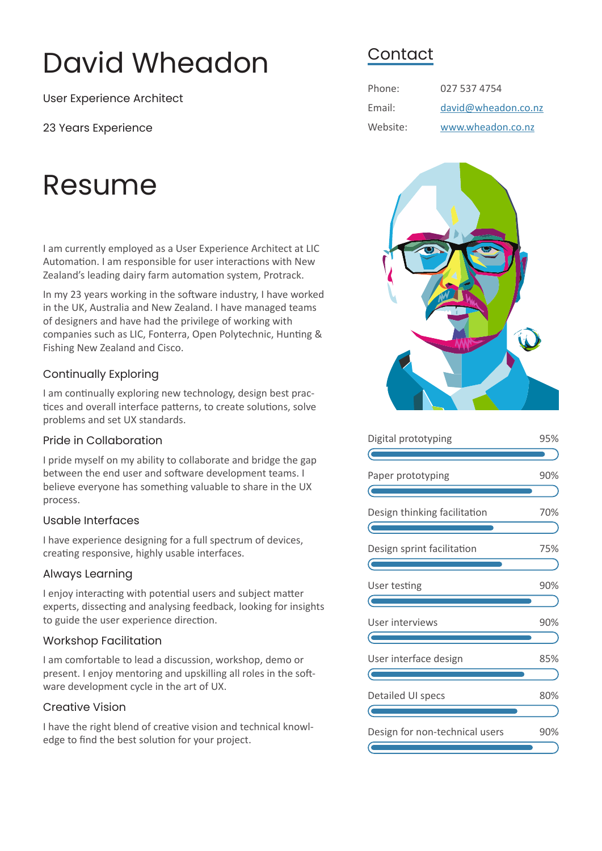# David Wheadon

User Experience Architect

23 Years Experience

# Resume

I am currently employed as a User Experience Architect at LIC Automation. I am responsible for user interactions with New Zealand's leading dairy farm automation system, Protrack.

In my 23 years working in the software industry, I have worked in the UK, Australia and New Zealand. I have managed teams of designers and have had the privilege of working with companies such as LIC, Fonterra, Open Polytechnic, Hunting & Fishing New Zealand and Cisco.

#### Continually Exploring

I am continually exploring new technology, design best practices and overall interface patterns, to create solutions, solve problems and set UX standards.

#### Pride in Collaboration

I pride myself on my ability to collaborate and bridge the gap between the end user and software development teams. I believe everyone has something valuable to share in the UX process.

#### Usable Interfaces

I have experience designing for a full spectrum of devices, creating responsive, highly usable interfaces.

#### Always Learning

I enjoy interacting with potential users and subject matter experts, dissecting and analysing feedback, looking for insights to guide the user experience direction.

#### Workshop Facilitation

I am comfortable to lead a discussion, workshop, demo or present. I enjoy mentoring and upskilling all roles in the software development cycle in the art of UX.

#### Creative Vision

I have the right blend of creative vision and technical knowledge to find the best solution for your project.

### **Contact**

| Phone:   | 027 537 4754        |
|----------|---------------------|
| Email:   | david@wheadon.co.nz |
| Website: | www.wheadon.co.nz   |



| Digital prototyping            |     |  |
|--------------------------------|-----|--|
|                                |     |  |
| Paper prototyping              | 90% |  |
|                                |     |  |
| Design thinking facilitation   | 70% |  |
|                                |     |  |
| Design sprint facilitation     | 75% |  |
|                                |     |  |
| User testing                   | 90% |  |
|                                |     |  |
| User interviews                | 90% |  |
|                                |     |  |
| User interface design          | 85% |  |
|                                |     |  |
| Detailed UI specs              | 80% |  |
|                                |     |  |
| Design for non-technical users | 90% |  |
|                                |     |  |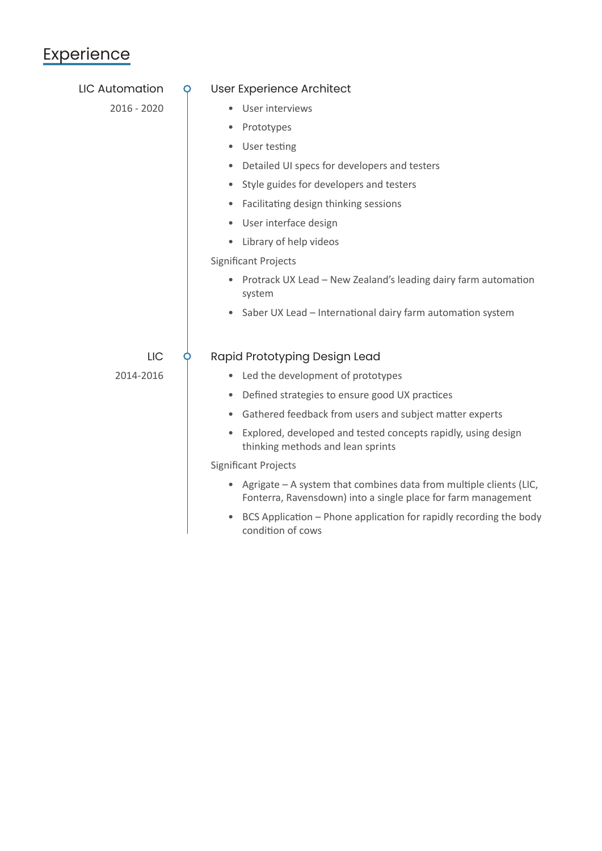## **Experience**

| <b>LIC Automation</b> | O                                                       | User Experience Architect                                                                                                             |
|-----------------------|---------------------------------------------------------|---------------------------------------------------------------------------------------------------------------------------------------|
| 2016 - 2020           |                                                         | User interviews                                                                                                                       |
|                       |                                                         | Prototypes<br>۰                                                                                                                       |
|                       |                                                         | User testing                                                                                                                          |
|                       |                                                         | Detailed UI specs for developers and testers<br>$\bullet$                                                                             |
|                       |                                                         | • Style guides for developers and testers                                                                                             |
|                       |                                                         | Facilitating design thinking sessions<br>$\bullet$                                                                                    |
|                       |                                                         | • User interface design                                                                                                               |
|                       |                                                         | Library of help videos<br>$\bullet$                                                                                                   |
|                       |                                                         | <b>Significant Projects</b>                                                                                                           |
|                       |                                                         | Protrack UX Lead - New Zealand's leading dairy farm automation<br>system                                                              |
|                       |                                                         | • Saber UX Lead - International dairy farm automation system                                                                          |
| LIC                   |                                                         | Rapid Prototyping Design Lead                                                                                                         |
| 2014-2016             |                                                         | • Led the development of prototypes                                                                                                   |
|                       |                                                         | • Defined strategies to ensure good UX practices                                                                                      |
|                       | Gathered feedback from users and subject matter experts |                                                                                                                                       |
|                       |                                                         | Explored, developed and tested concepts rapidly, using design<br>thinking methods and lean sprints                                    |
|                       | <b>Significant Projects</b>                             |                                                                                                                                       |
|                       |                                                         | • Agrigate – A system that combines data from multiple clients (LIC,<br>Fonterra, Ravensdown) into a single place for farm management |
|                       |                                                         | BCS Application - Phone application for rapidly recording the body<br>condition of cows                                               |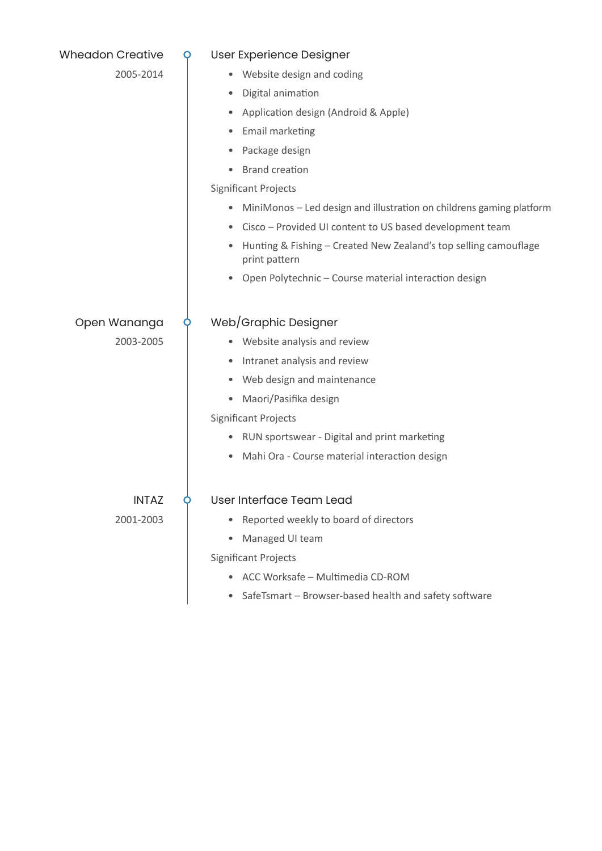| <b>Wheadon Creative</b> | O | User Experience Designer                                                          |
|-------------------------|---|-----------------------------------------------------------------------------------|
| 2005-2014               |   | Website design and coding                                                         |
|                         |   | Digital animation<br>٠                                                            |
|                         |   | Application design (Android & Apple)                                              |
|                         |   | Email marketing                                                                   |
|                         |   | Package design                                                                    |
|                         |   | <b>Brand creation</b>                                                             |
|                         |   | <b>Significant Projects</b>                                                       |
|                         |   | MiniMonos - Led design and illustration on childrens gaming platform<br>٠         |
|                         |   | Cisco - Provided UI content to US based development team<br>$\bullet$             |
|                         |   | Hunting & Fishing - Created New Zealand's top selling camouflage<br>print pattern |
|                         |   | Open Polytechnic - Course material interaction design                             |
| Open Wananga            |   | Web/Graphic Designer                                                              |
| 2003-2005               |   | • Website analysis and review                                                     |
|                         |   | Intranet analysis and review<br>٠                                                 |
|                         |   | Web design and maintenance                                                        |
|                         |   | Maori/Pasifika design<br>٠                                                        |
|                         |   | Significant Projects                                                              |
|                         |   | • RUN sportswear - Digital and print marketing                                    |
|                         |   | Mahi Ora - Course material interaction design<br>$\bullet$                        |
| <b>INTAZ</b>            |   | User Interface Team Lead                                                          |
| 2001-2003               |   | Reported weekly to board of directors                                             |
|                         |   | Managed UI team                                                                   |
|                         |   | <b>Significant Projects</b>                                                       |
|                         |   | • ACC Worksafe - Multimedia CD-ROM                                                |
|                         |   | SafeTsmart - Browser-based health and safety software                             |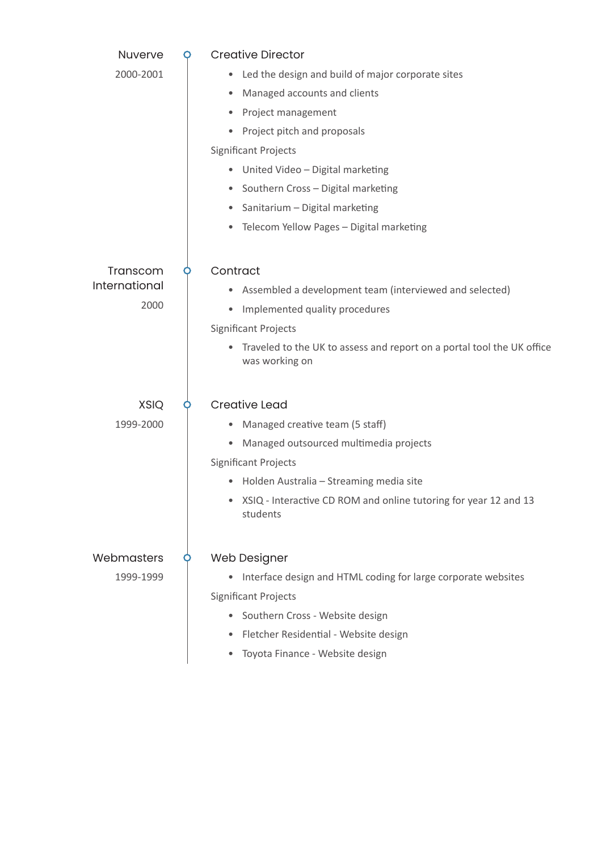| Nuverve       | O | <b>Creative Director</b>                                                                 |
|---------------|---|------------------------------------------------------------------------------------------|
| 2000-2001     |   | Led the design and build of major corporate sites<br>٠                                   |
|               |   | Managed accounts and clients<br>٠                                                        |
|               |   | Project management<br>٠                                                                  |
|               |   | Project pitch and proposals                                                              |
|               |   | <b>Significant Projects</b>                                                              |
|               |   | • United Video - Digital marketing                                                       |
|               |   | Southern Cross - Digital marketing<br>$\bullet$                                          |
|               |   | Sanitarium - Digital marketing<br>٠                                                      |
|               |   | Telecom Yellow Pages - Digital marketing<br>۰                                            |
|               |   |                                                                                          |
| Transcom      |   | Contract                                                                                 |
| International |   | Assembled a development team (interviewed and selected)                                  |
| 2000          |   | Implemented quality procedures<br>۰                                                      |
|               |   | <b>Significant Projects</b>                                                              |
|               |   | Traveled to the UK to assess and report on a portal tool the UK office<br>was working on |
| <b>XSIQ</b>   |   | <b>Creative Lead</b>                                                                     |
| 1999-2000     |   | Managed creative team (5 staff)<br>٠                                                     |
|               |   | Managed outsourced multimedia projects<br>$\bullet$                                      |
|               |   | <b>Significant Projects</b>                                                              |
|               |   | Holden Australia - Streaming media site                                                  |
|               |   | XSIQ - Interactive CD ROM and online tutoring for year 12 and 13<br>students             |
| Webmasters    |   | Web Designer                                                                             |
| 1999-1999     |   | Interface design and HTML coding for large corporate websites<br>٠                       |
|               |   | <b>Significant Projects</b>                                                              |
|               |   | Southern Cross - Website design<br>٠                                                     |
|               |   | Fletcher Residential - Website design                                                    |
|               |   | Toyota Finance - Website design                                                          |
|               |   |                                                                                          |